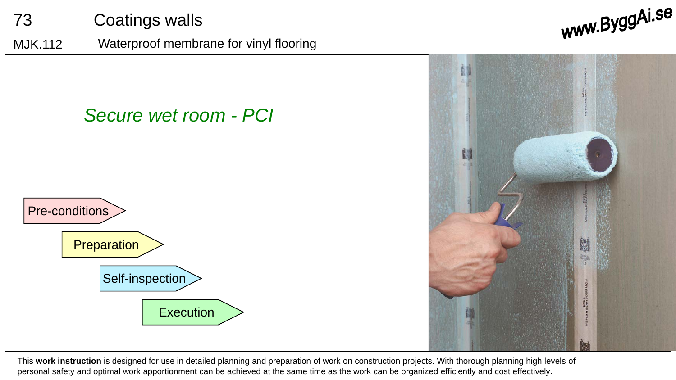73 Coatings walls

MJK.112 Waterproof membrane for vinyl flooring

*Secure wet room - PCI*



www.ByggAi.se



This **work instruction** is designed for use in detailed planning and preparation of work on construction projects. With thorough planning high levels of personal safety and optimal work apportionment can be achieved at the same time as the work can be organized efficiently and cost effectively.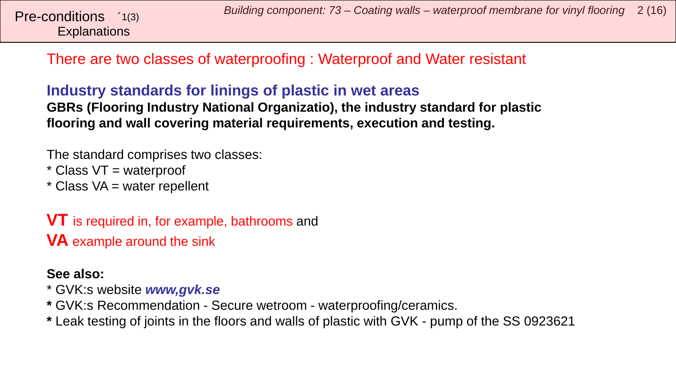There are two classes of waterproofing : Waterproof and Water resistant

#### **Industry standards for linings of plastic in wet areas GBRs (Flooring Industry National Organizatio), the industry standard for plastic**

**flooring and wall covering material requirements, execution and testing.**

The standard comprises two classes:

\* Class VT = waterproof

 $*$  Class VA = water repellent

**VT** is required in, for example, bathrooms and **VA** example around the sink

#### **See also:**

\* GVK:s website *www,gvk.se*

- **\*** GVK:s Recommendation Secure wetroom waterproofing/ceramics.
- **\*** Leak testing of joints in the floors and walls of plastic with GVK pump of the SS 0923621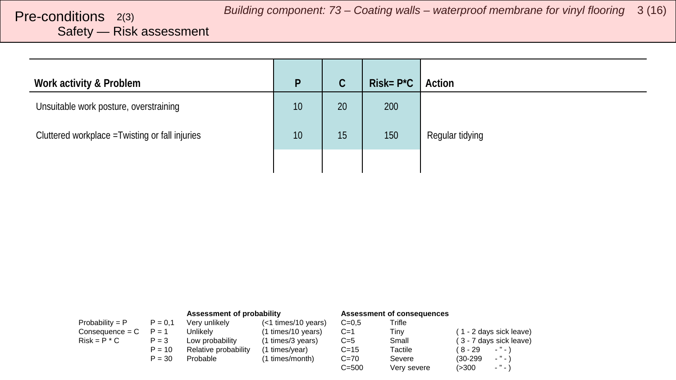# <span id="page-2-0"></span>Safety — Risk assessment

| Work activity & Problem                         | D  | $\mathsf C$ | $Risk = P^*C$ | Action          |
|-------------------------------------------------|----|-------------|---------------|-----------------|
| Unsuitable work posture, overstraining          | 10 | 20          | 200           |                 |
| Cluttered workplace = Twisting or fall injuries | 10 | 15          | 150           | Regular tidying |
|                                                 |    |             |               |                 |

|                   |           | Assessment of probability |                     | <b>Assessment of consequences</b> |             |                                 |
|-------------------|-----------|---------------------------|---------------------|-----------------------------------|-------------|---------------------------------|
| Probability = $P$ | $P = 0.1$ | Very unlikely             | (<1 times/10 years) | $C = 0.5$                         | Trifle      |                                 |
| $Consequence = C$ | $P = 1$   | Unlikelv                  | (1 times/10 years)  | $C=1$                             | Tiny        | (1 - 2 days sick leave)         |
| $Risk = P * C$    | $P = 3$   | Low probabilitv           | (1 times/3 years)   | $C=5$                             | Small       | (3 - 7 days sick leave)         |
|                   | $P = 10$  | Relative probability      | (1 times/year)      | $C = 15$                          | Tactile     | ( 8 - 29<br>$\cdots$            |
|                   | $P = 30$  | Probable                  | (1 times/month)     | $C = 70$                          | Severe      | $ "$ $ \lambda$<br>$(30-299)$   |
|                   |           |                           |                     | $C = 500$                         | Very severe | $\sim$ $\sim$ $\sim$<br>( > 300 |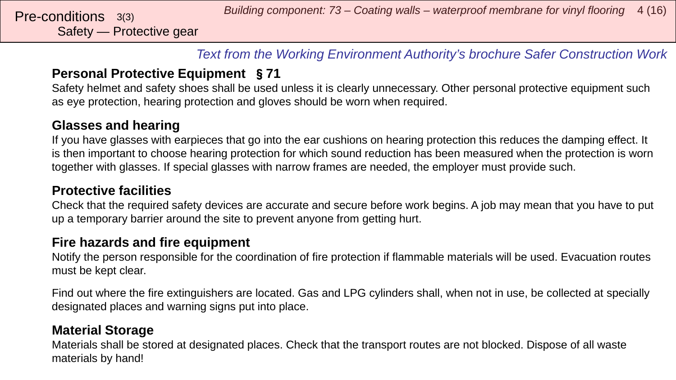*Text from the Working Environment Authority's brochure Safer Construction Work*

#### **Personal Protective Equipment** §**71**

Safety helmet and safety shoes shall be used unless it is clearly unnecessary. Other personal protective equipment such as eye protection, hearing protection and gloves should be worn when required.

#### **Glasses and hearing**

If you have glasses with earpieces that go into the ear cushions on hearing protection this reduces the damping effect. It is then important to choose hearing protection for which sound reduction has been measured when the protection is worn together with glasses. If special glasses with narrow frames are needed, the employer must provide such.

#### **Protective facilities**

Check that the required safety devices are accurate and secure before work begins. A job may mean that you have to put up a temporary barrier around the site to prevent anyone from getting hurt.

#### **Fire hazards and fire equipment**

Notify the person responsible for the coordination of fire protection if flammable materials will be used. Evacuation routes must be kept clear.

Find out where the fire extinguishers are located. Gas and LPG cylinders shall, when not in use, be collected at specially designated places and warning signs put into place.

#### **Material Storage**

Materials shall be stored at designated places. Check that the transport routes are not blocked. Dispose of all waste materials by hand!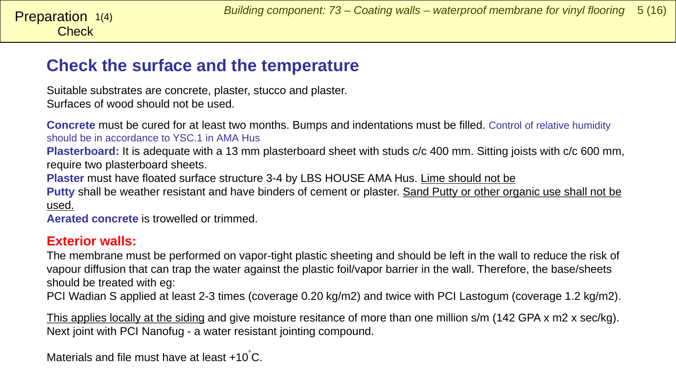# **Check the surface and the temperature**

Suitable substrates are concrete, plaster, stucco and plaster. Surfaces of wood should not be used.

**Concrete** must be cured for at least two months. Bumps and indentations must be filled. Control of relative humidity should be in accordance to YSC.1 in AMA Hus

**Plasterboard:** It is adequate with a 13 mm plasterboard sheet with studs c/c 400 mm. Sitting joists with c/c 600 mm, require two plasterboard sheets.

**Plaster** must have floated surface structure 3-4 by LBS HOUSE AMA Hus. Lime should not be

Putty shall be weather resistant and have binders of cement or plaster. Sand Putty or other organic use shall not be used.

**Aerated concrete** is trowelled or trimmed.

#### **Exterior walls:**

The membrane must be performed on vapor-tight plastic sheeting and should be left in the wall to reduce the risk of vapour diffusion that can trap the water against the plastic foil/vapor barrier in the wall. Therefore, the base/sheets should be treated with eg:

PCI Wadian S applied at least 2-3 times (coverage 0.20 kg/m2) and twice with PCI Lastogum (coverage 1.2 kg/m2).

This applies locally at the siding and give moisture resitance of more than one million s/m (142 GPA x m2 x sec/kg). Next joint with PCI Nanofug - a water resistant jointing compound.

Materials and file must have at least +10 $°C$ .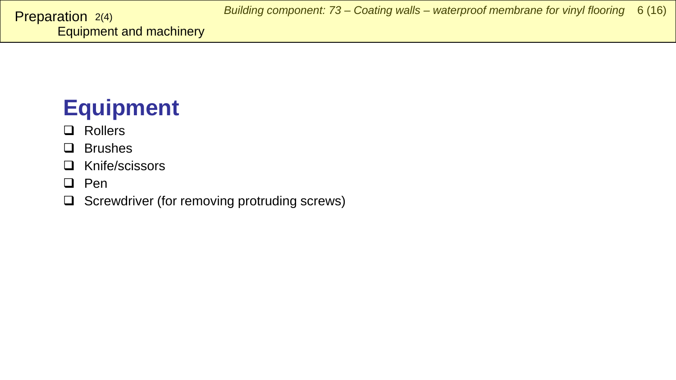# <span id="page-5-0"></span>**Equipment**

# **Q** Rollers

#### **Q** Brushes

- □ Knife/scissors
- $\Box$  Pen
- $\Box$  Screwdriver (for removing protruding screws)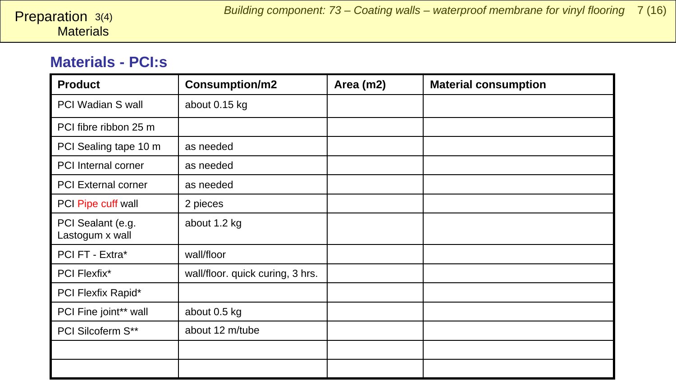#### **Materials - PCI:s**

| <b>Product</b>                       | Consumption/m2                   | Area (m2) | <b>Material consumption</b> |
|--------------------------------------|----------------------------------|-----------|-----------------------------|
| PCI Wadian S wall                    | about 0.15 kg                    |           |                             |
| PCI fibre ribbon 25 m                |                                  |           |                             |
| PCI Sealing tape 10 m                | as needed                        |           |                             |
| PCI Internal corner                  | as needed                        |           |                             |
| <b>PCI External corner</b>           | as needed                        |           |                             |
| PCI Pipe cuff wall                   | 2 pieces                         |           |                             |
| PCI Sealant (e.g.<br>Lastogum x wall | about 1.2 kg                     |           |                             |
| PCI FT - Extra*                      | wall/floor                       |           |                             |
| PCI Flexfix*                         | wall/floor. quick curing, 3 hrs. |           |                             |
| PCI Flexfix Rapid*                   |                                  |           |                             |
| PCI Fine joint** wall                | about 0.5 kg                     |           |                             |
| PCI Silcoferm S**                    | about 12 m/tube                  |           |                             |
|                                      |                                  |           |                             |
|                                      |                                  |           |                             |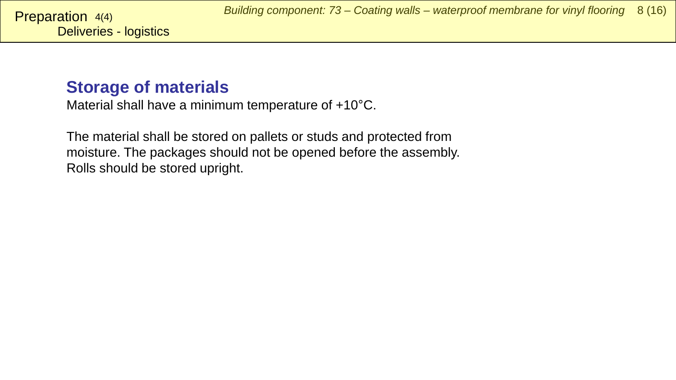# **Storage of materials**

Material shall have a minimum temperature of +10°C.

The material shall be stored on pallets or studs and protected from moisture. The packages should not be opened before the assembly. Rolls should be stored upright.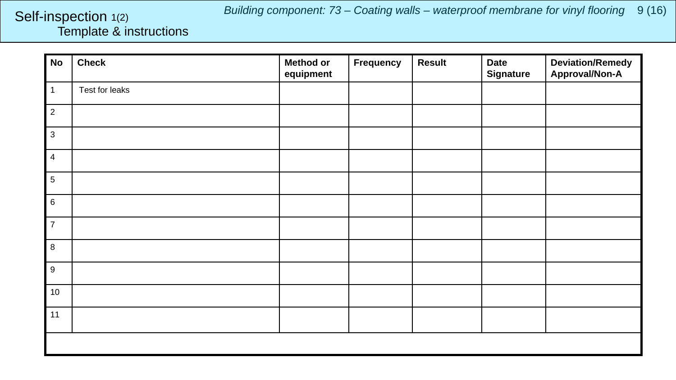*Building component: 73 – Coating walls – waterproof membrane for vinyl flooring* 9 (16)

#### <span id="page-8-0"></span>Template & instructions Self-inspection 1(2)

| No               | <b>Check</b>   | <b>Method or</b><br>equipment | Frequency | <b>Result</b> | <b>Date</b><br><b>Signature</b> | <b>Deviation/Remedy</b><br>Approval/Non-A |  |
|------------------|----------------|-------------------------------|-----------|---------------|---------------------------------|-------------------------------------------|--|
| $\mathbf{1}$     | Test for leaks |                               |           |               |                                 |                                           |  |
| $\overline{2}$   |                |                               |           |               |                                 |                                           |  |
| $\sqrt{3}$       |                |                               |           |               |                                 |                                           |  |
| $\overline{4}$   |                |                               |           |               |                                 |                                           |  |
| $\overline{5}$   |                |                               |           |               |                                 |                                           |  |
| $\,6\,$          |                |                               |           |               |                                 |                                           |  |
| $\overline{7}$   |                |                               |           |               |                                 |                                           |  |
| $\bf 8$          |                |                               |           |               |                                 |                                           |  |
| $\boldsymbol{9}$ |                |                               |           |               |                                 |                                           |  |
| 10               |                |                               |           |               |                                 |                                           |  |
| 11               |                |                               |           |               |                                 |                                           |  |
|                  |                |                               |           |               |                                 |                                           |  |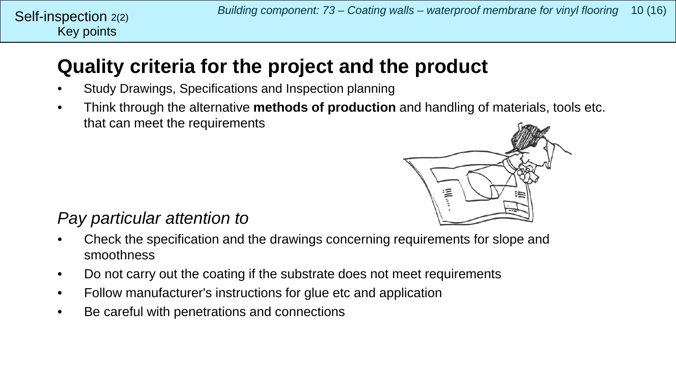# **Quality criteria for the project and the product**

- Study Drawings, Specifications and Inspection planning
- Think through the alternative **methods of production** and handling of materials, tools etc. that can meet the requirements



# *Pay particular attention to*

- Check the specification and the drawings concerning requirements for slope and smoothness
- Do not carry out the coating if the substrate does not meet requirements
- Follow manufacturer's instructions for glue etc and application
- Be careful with penetrations and connections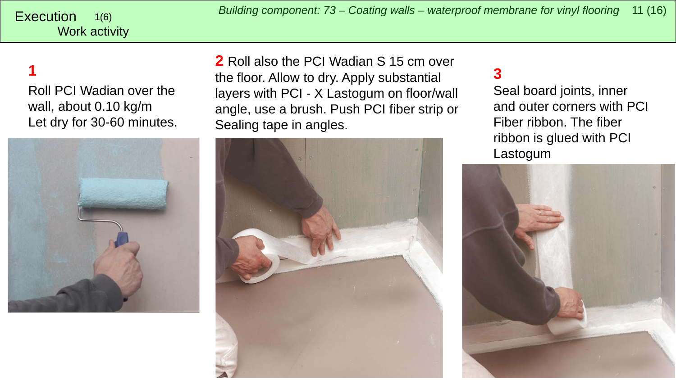<span id="page-10-0"></span>*Building component: 73 – Coating walls – waterproof membrane for vinyl flooring* <sup>11</sup> (16) Execution

#### Work activity 1(6)

# **1**

Roll PCI Wadian over the wall, about 0.10 kg/m Let dry for 30-60 minutes.



**2** Roll also the PCI Wadian S 15 cm over the floor. Allow to dry. Apply substantial layers with PCI - X Lastogum on floor/wall angle, use a brush. Push PCI fiber strip or Sealing tape in angles.



# **3**

Seal board joints, inner and outer corners with PCI Fiber ribbon. The fiber ribbon is glued with PCI Lastogum

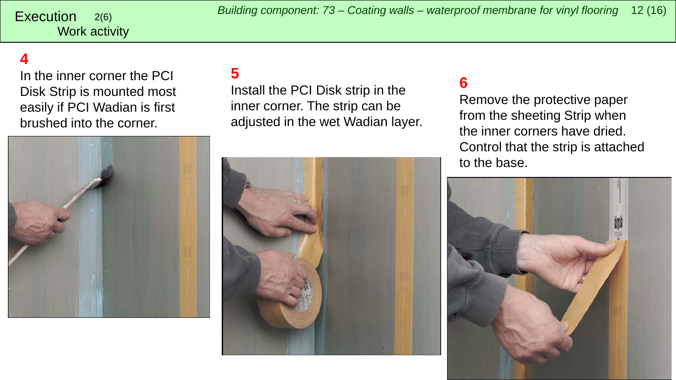Work activity

# **4**

In the inner corner the PCI Disk Strip is mounted most easily if PCI Wadian is first brushed into the corner.



#### **5**

Install the PCI Disk strip in the inner corner. The strip can be adjusted in the wet Wadian layer.



#### **6**

Remove the protective paper from the sheeting Strip when the inner corners have dried. Control that the strip is attached to the base.

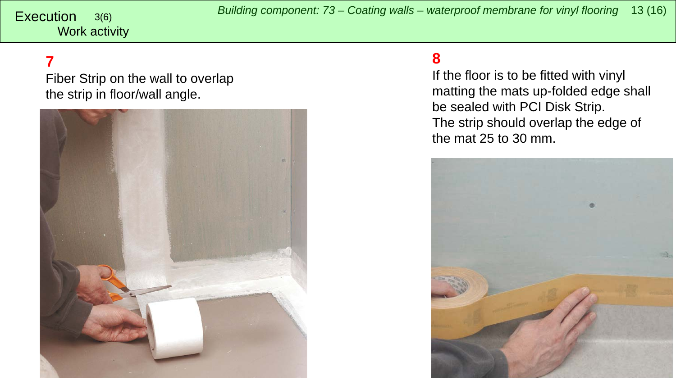Work activity

# **7**

Fiber Strip on the wall to overlap the strip in floor/wall angle.



#### **8**

If the floor is to be fitted with vinyl matting the mats up-folded edge shall be sealed with PCI Disk Strip. The strip should overlap the edge of the mat 25 to 30 mm.

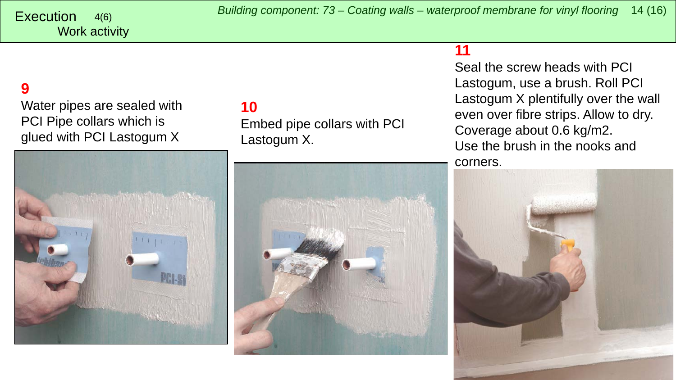# **9**

Water pipes are sealed with PCI Pipe collars which is glued with PCI Lastogum X



# **10**

Embed pipe collars with PCI Lastogum X.



#### **11**

Seal the screw heads with PCI Lastogum, use a brush. Roll PCI Lastogum X plentifully over the wall even over fibre strips. Allow to dry. Coverage about 0.6 kg/m2. Use the brush in the nooks and corners.

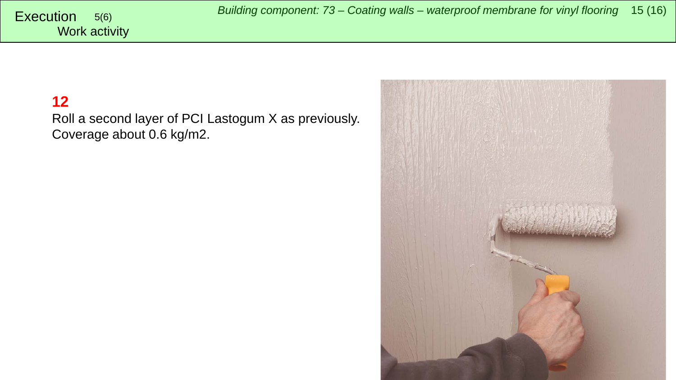### **12**

Roll a second layer of PCI Lastogum X as previously. Coverage about 0.6 kg/m2.